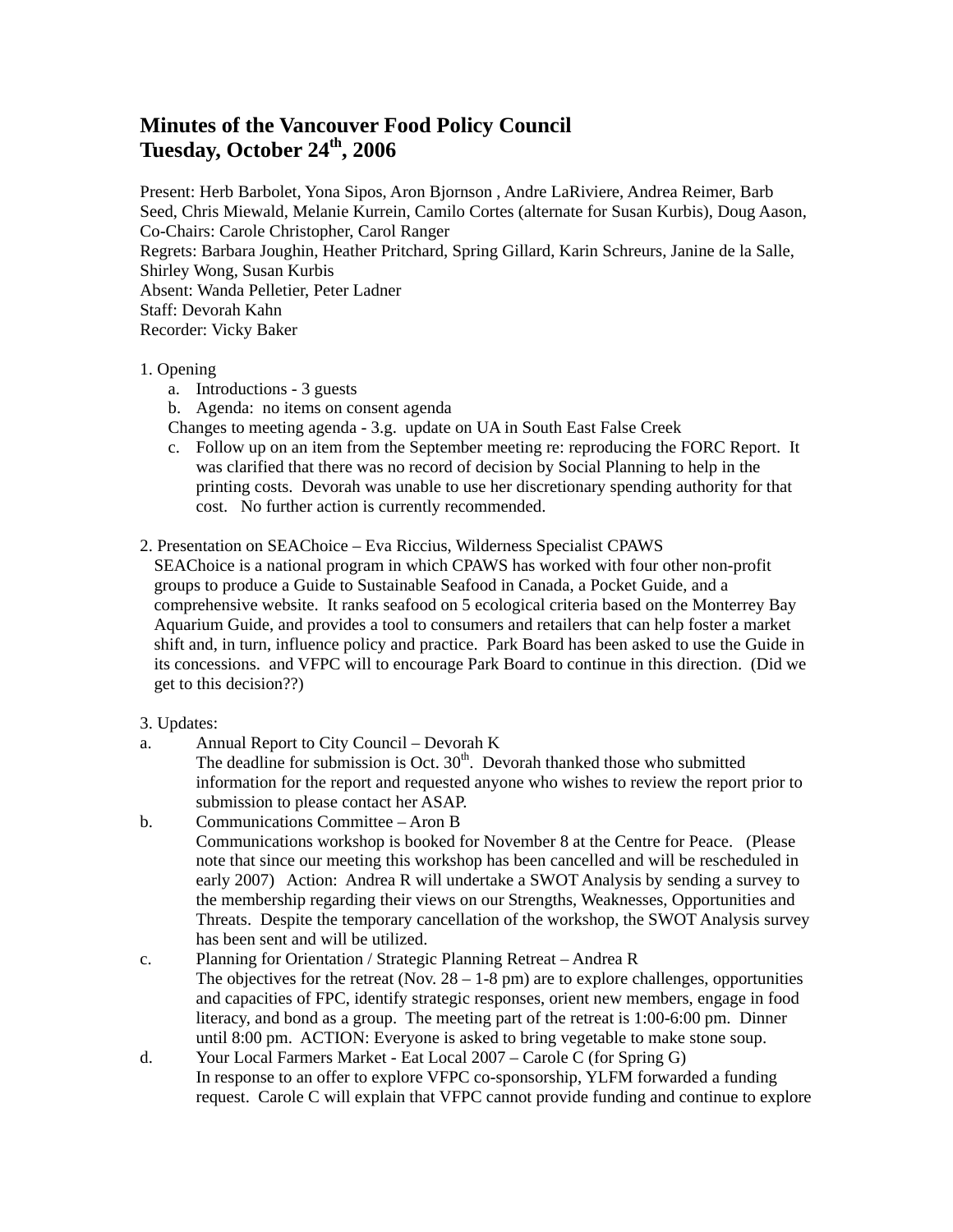## **Minutes of the Vancouver Food Policy Council Tuesday, October 24th, 2006**

Present: Herb Barbolet, Yona Sipos, Aron Bjornson , Andre LaRiviere, Andrea Reimer, Barb Seed, Chris Miewald, Melanie Kurrein, Camilo Cortes (alternate for Susan Kurbis), Doug Aason, Co-Chairs: Carole Christopher, Carol Ranger Regrets: Barbara Joughin, Heather Pritchard, Spring Gillard, Karin Schreurs, Janine de la Salle, Shirley Wong, Susan Kurbis Absent: Wanda Pelletier, Peter Ladner Staff: Devorah Kahn Recorder: Vicky Baker

## 1. Opening

- a. Introductions 3 guests
- b. Agenda: no items on consent agenda
- Changes to meeting agenda 3.g. update on UA in South East False Creek
- c. Follow up on an item from the September meeting re: reproducing the FORC Report. It was clarified that there was no record of decision by Social Planning to help in the printing costs. Devorah was unable to use her discretionary spending authority for that cost. No further action is currently recommended.
- 2. Presentation on SEAChoice Eva Riccius, Wilderness Specialist CPAWS

SEAChoice is a national program in which CPAWS has worked with four other non-profit groups to produce a Guide to Sustainable Seafood in Canada, a Pocket Guide, and a comprehensive website. It ranks seafood on 5 ecological criteria based on the Monterrey Bay Aquarium Guide, and provides a tool to consumers and retailers that can help foster a market shift and, in turn, influence policy and practice. Park Board has been asked to use the Guide in its concessions. and VFPC will to encourage Park Board to continue in this direction. (Did we get to this decision??)

## 3. Updates:

a. Annual Report to City Council – Devorah K

The deadline for submission is Oct.  $30<sup>th</sup>$ . Devorah thanked those who submitted information for the report and requested anyone who wishes to review the report prior to submission to please contact her ASAP.

- b. Communications Committee Aron B Communications workshop is booked for November 8 at the Centre for Peace. (Please note that since our meeting this workshop has been cancelled and will be rescheduled in early 2007) Action: Andrea R will undertake a SWOT Analysis by sending a survey to the membership regarding their views on our Strengths, Weaknesses, Opportunities and Threats. Despite the temporary cancellation of the workshop, the SWOT Analysis survey has been sent and will be utilized.
- c. Planning for Orientation / Strategic Planning Retreat Andrea R The objectives for the retreat (Nov.  $28 - 1 - 8$  pm) are to explore challenges, opportunities and capacities of FPC, identify strategic responses, orient new members, engage in food literacy, and bond as a group. The meeting part of the retreat is 1:00-6:00 pm. Dinner until 8:00 pm. ACTION: Everyone is asked to bring vegetable to make stone soup.
- d. Your Local Farmers Market Eat Local 2007 Carole C (for Spring G) In response to an offer to explore VFPC co-sponsorship, YLFM forwarded a funding request. Carole C will explain that VFPC cannot provide funding and continue to explore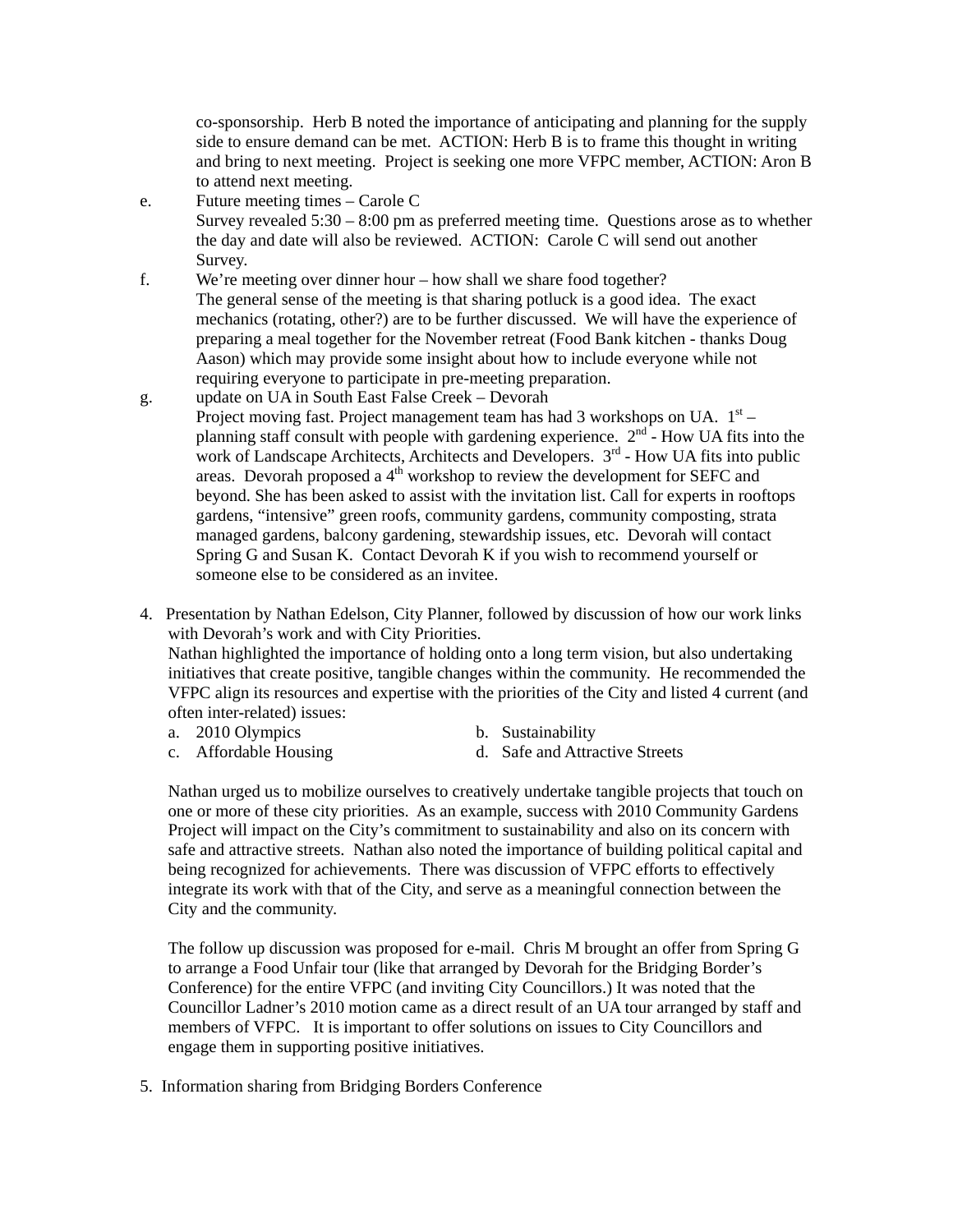co-sponsorship. Herb B noted the importance of anticipating and planning for the supply side to ensure demand can be met. ACTION: Herb B is to frame this thought in writing and bring to next meeting. Project is seeking one more VFPC member, ACTION: Aron B to attend next meeting.

e. Future meeting times – Carole C

Survey revealed  $5:30 - 8:00$  pm as preferred meeting time. Questions arose as to whether the day and date will also be reviewed. ACTION: Carole C will send out another Survey.

- f. We're meeting over dinner hour how shall we share food together? The general sense of the meeting is that sharing potluck is a good idea. The exact mechanics (rotating, other?) are to be further discussed. We will have the experience of preparing a meal together for the November retreat (Food Bank kitchen - thanks Doug Aason) which may provide some insight about how to include everyone while not requiring everyone to participate in pre-meeting preparation.
- g. update on UA in South East False Creek Devorah Project moving fast. Project management team has had 3 workshops on UA.  $1<sup>st</sup>$  – planning staff consult with people with gardening experience.  $2<sup>nd</sup>$  - How UA fits into the work of Landscape Architects, Architects and Developers.  $3<sup>rd</sup>$  - How UA fits into public areas. Devorah proposed a  $4<sup>th</sup>$  workshop to review the development for SEFC and beyond. She has been asked to assist with the invitation list. Call for experts in rooftops gardens, "intensive" green roofs, community gardens, community composting, strata managed gardens, balcony gardening, stewardship issues, etc. Devorah will contact Spring G and Susan K. Contact Devorah K if you wish to recommend yourself or someone else to be considered as an invitee.
- 4. Presentation by Nathan Edelson, City Planner, followed by discussion of how our work links with Devorah's work and with City Priorities.

 Nathan highlighted the importance of holding onto a long term vision, but also undertaking initiatives that create positive, tangible changes within the community. He recommended the VFPC align its resources and expertise with the priorities of the City and listed 4 current (and often inter-related) issues:

- a. 2010 Olympics b. Sustainability
- c. Affordable Housing d. Safe and Attractive Streets

Nathan urged us to mobilize ourselves to creatively undertake tangible projects that touch on one or more of these city priorities. As an example, success with 2010 Community Gardens Project will impact on the City's commitment to sustainability and also on its concern with safe and attractive streets. Nathan also noted the importance of building political capital and being recognized for achievements. There was discussion of VFPC efforts to effectively integrate its work with that of the City, and serve as a meaningful connection between the City and the community.

 The follow up discussion was proposed for e-mail. Chris M brought an offer from Spring G to arrange a Food Unfair tour (like that arranged by Devorah for the Bridging Border's Conference) for the entire VFPC (and inviting City Councillors.) It was noted that the Councillor Ladner's 2010 motion came as a direct result of an UA tour arranged by staff and members of VFPC. It is important to offer solutions on issues to City Councillors and engage them in supporting positive initiatives.

5. Information sharing from Bridging Borders Conference